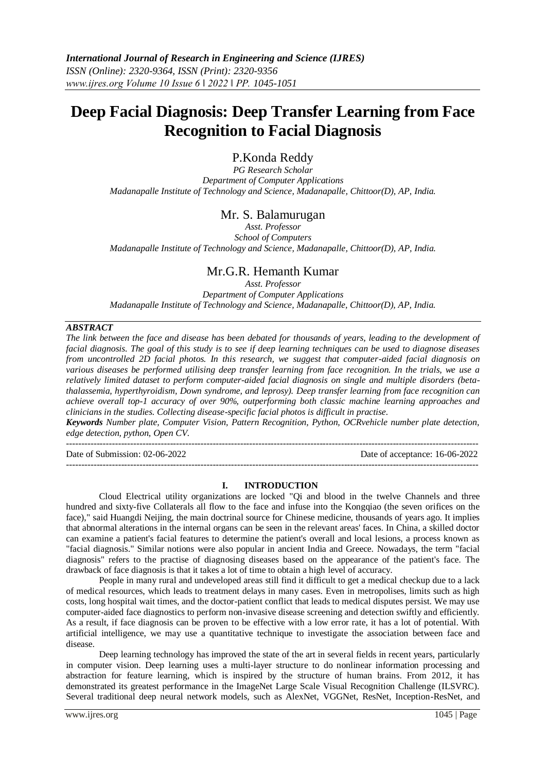# **Deep Facial Diagnosis: Deep Transfer Learning from Face Recognition to Facial Diagnosis**

## P.Konda Reddy

*PG Research Scholar Department of Computer Applications Madanapalle Institute of Technology and Science, Madanapalle, Chittoor(D), AP, India.*

## Mr. S. Balamurugan

*Asst. Professor School of Computers Madanapalle Institute of Technology and Science, Madanapalle, Chittoor(D), AP, India.*

## Mr.G.R. Hemanth Kumar

*Asst. Professor Department of Computer Applications Madanapalle Institute of Technology and Science, Madanapalle, Chittoor(D), AP, India.*

#### *ABSTRACT*

 $-1\leq i\leq n-1$ 

*The link between the face and disease has been debated for thousands of years, leading to the development of facial diagnosis. The goal of this study is to see if deep learning techniques can be used to diagnose diseases from uncontrolled 2D facial photos. In this research, we suggest that computer-aided facial diagnosis on various diseases be performed utilising deep transfer learning from face recognition. In the trials, we use a relatively limited dataset to perform computer-aided facial diagnosis on single and multiple disorders (betathalassemia, hyperthyroidism, Down syndrome, and leprosy). Deep transfer learning from face recognition can achieve overall top-1 accuracy of over 90%, outperforming both classic machine learning approaches and clinicians in the studies. Collecting disease-specific facial photos is difficult in practise.*

*Keywords Number plate, Computer Vision, Pattern Recognition, Python, OCRvehicle number plate detection, edge detection, python, Open CV.*

--------------------------------------------------------------------------------------------------------------------------------------- Date of Submission: 02-06-2022 Date of acceptance: 16-06-2022

#### **I. INTRODUCTION**

Cloud Electrical utility organizations are locked "Qi and blood in the twelve Channels and three hundred and sixty-five Collaterals all flow to the face and infuse into the Kongqiao (the seven orifices on the face)," said Huangdi Neijing, the main doctrinal source for Chinese medicine, thousands of years ago. It implies that abnormal alterations in the internal organs can be seen in the relevant areas' faces. In China, a skilled doctor can examine a patient's facial features to determine the patient's overall and local lesions, a process known as "facial diagnosis." Similar notions were also popular in ancient India and Greece. Nowadays, the term "facial diagnosis" refers to the practise of diagnosing diseases based on the appearance of the patient's face. The drawback of face diagnosis is that it takes a lot of time to obtain a high level of accuracy.

People in many rural and undeveloped areas still find it difficult to get a medical checkup due to a lack of medical resources, which leads to treatment delays in many cases. Even in metropolises, limits such as high costs, long hospital wait times, and the doctor-patient conflict that leads to medical disputes persist. We may use computer-aided face diagnostics to perform non-invasive disease screening and detection swiftly and efficiently. As a result, if face diagnosis can be proven to be effective with a low error rate, it has a lot of potential. With artificial intelligence, we may use a quantitative technique to investigate the association between face and disease.

Deep learning technology has improved the state of the art in several fields in recent years, particularly in computer vision. Deep learning uses a multi-layer structure to do nonlinear information processing and abstraction for feature learning, which is inspired by the structure of human brains. From 2012, it has demonstrated its greatest performance in the ImageNet Large Scale Visual Recognition Challenge (ILSVRC). Several traditional deep neural network models, such as AlexNet, VGGNet, ResNet, Inception-ResNet, and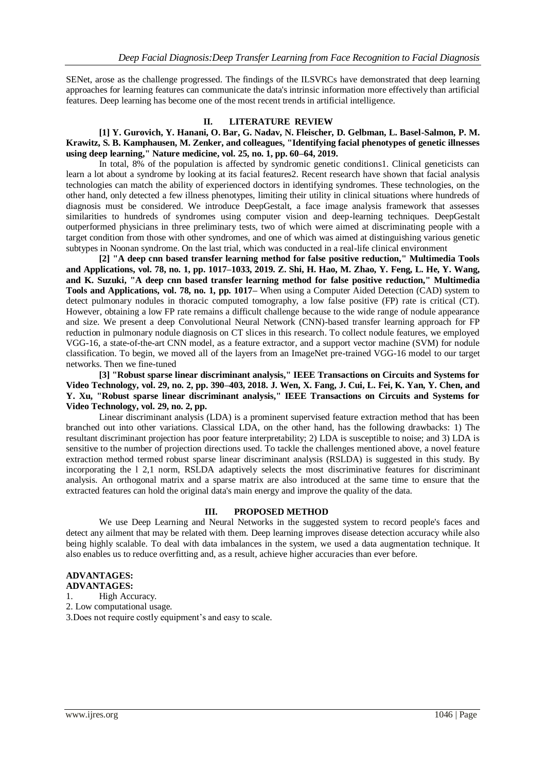SENet, arose as the challenge progressed. The findings of the ILSVRCs have demonstrated that deep learning approaches for learning features can communicate the data's intrinsic information more effectively than artificial features. Deep learning has become one of the most recent trends in artificial intelligence.

#### **II. LITERATURE REVIEW**

#### **[1] Y. Gurovich, Y. Hanani, O. Bar, G. Nadav, N. Fleischer, D. Gelbman, L. Basel-Salmon, P. M. Krawitz, S. B. Kamphausen, M. Zenker, and colleagues, "Identifying facial phenotypes of genetic illnesses using deep learning," Nature medicine, vol. 25, no. 1, pp. 60–64, 2019.**

In total, 8% of the population is affected by syndromic genetic conditions1. Clinical geneticists can learn a lot about a syndrome by looking at its facial features2. Recent research have shown that facial analysis technologies can match the ability of experienced doctors in identifying syndromes. These technologies, on the other hand, only detected a few illness phenotypes, limiting their utility in clinical situations where hundreds of diagnosis must be considered. We introduce DeepGestalt, a face image analysis framework that assesses similarities to hundreds of syndromes using computer vision and deep-learning techniques. DeepGestalt outperformed physicians in three preliminary tests, two of which were aimed at discriminating people with a target condition from those with other syndromes, and one of which was aimed at distinguishing various genetic subtypes in Noonan syndrome. On the last trial, which was conducted in a real-life clinical environment

**[2] "A deep cnn based transfer learning method for false positive reduction," Multimedia Tools and Applications, vol. 78, no. 1, pp. 1017–1033, 2019. Z. Shi, H. Hao, M. Zhao, Y. Feng, L. He, Y. Wang, and K. Suzuki, "A deep cnn based transfer learning method for false positive reduction," Multimedia Tools and Applications, vol. 78, no. 1, pp. 1017–** When using a Computer Aided Detection (CAD) system to detect pulmonary nodules in thoracic computed tomography, a low false positive (FP) rate is critical (CT). However, obtaining a low FP rate remains a difficult challenge because to the wide range of nodule appearance and size. We present a deep Convolutional Neural Network (CNN)-based transfer learning approach for FP reduction in pulmonary nodule diagnosis on CT slices in this research. To collect nodule features, we employed VGG-16, a state-of-the-art CNN model, as a feature extractor, and a support vector machine (SVM) for nodule classification. To begin, we moved all of the layers from an ImageNet pre-trained VGG-16 model to our target networks. Then we fine-tuned

**[3] "Robust sparse linear discriminant analysis," IEEE Transactions on Circuits and Systems for Video Technology, vol. 29, no. 2, pp. 390–403, 2018. J. Wen, X. Fang, J. Cui, L. Fei, K. Yan, Y. Chen, and Y. Xu, "Robust sparse linear discriminant analysis," IEEE Transactions on Circuits and Systems for Video Technology, vol. 29, no. 2, pp.**

Linear discriminant analysis (LDA) is a prominent supervised feature extraction method that has been branched out into other variations. Classical LDA, on the other hand, has the following drawbacks: 1) The resultant discriminant projection has poor feature interpretability; 2) LDA is susceptible to noise; and 3) LDA is sensitive to the number of projection directions used. To tackle the challenges mentioned above, a novel feature extraction method termed robust sparse linear discriminant analysis (RSLDA) is suggested in this study. By incorporating the l 2,1 norm, RSLDA adaptively selects the most discriminative features for discriminant analysis. An orthogonal matrix and a sparse matrix are also introduced at the same time to ensure that the extracted features can hold the original data's main energy and improve the quality of the data.

#### **III. PROPOSED METHOD**

We use Deep Learning and Neural Networks in the suggested system to record people's faces and detect any ailment that may be related with them. Deep learning improves disease detection accuracy while also being highly scalable. To deal with data imbalances in the system, we used a data augmentation technique. It also enables us to reduce overfitting and, as a result, achieve higher accuracies than ever before.

## **ADVANTAGES:**

## **ADVANTAGES:**

1. High Accuracy. 2. Low computational usage.

3.Does not require costly equipment's and easy to scale.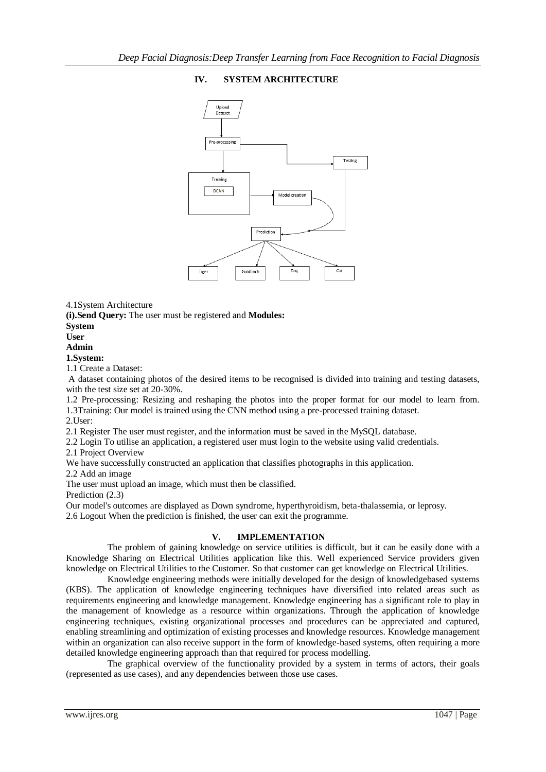## **IV. SYSTEM ARCHITECTURE**



4.1System Architecture

**(i).Send Query:** The user must be registered and **Modules:**

### **System**

## **User**

## **Admin**

#### **1.System:**

1.1 Create a Dataset:

A dataset containing photos of the desired items to be recognised is divided into training and testing datasets, with the test size set at 20-30%.

1.2 Pre-processing: Resizing and reshaping the photos into the proper format for our model to learn from. 1.3Training: Our model is trained using the CNN method using a pre-processed training dataset.

2.User:

2.1 Register The user must register, and the information must be saved in the MySQL database.

2.2 Login To utilise an application, a registered user must login to the website using valid credentials.

2.1 Project Overview

We have successfully constructed an application that classifies photographs in this application.

2.2 Add an image

The user must upload an image, which must then be classified.

Prediction  $(2.3)$ 

Our model's outcomes are displayed as Down syndrome, hyperthyroidism, beta-thalassemia, or leprosy. 2.6 Logout When the prediction is finished, the user can exit the programme.

## **V. IMPLEMENTATION**

The problem of gaining knowledge on service utilities is difficult, but it can be easily done with a Knowledge Sharing on Electrical Utilities application like this. Well experienced Service providers given knowledge on Electrical Utilities to the Customer. So that customer can get knowledge on Electrical Utilities.

Knowledge engineering methods were initially developed for the design of knowledgebased systems (KBS). The application of knowledge engineering techniques have diversified into related areas such as requirements engineering and knowledge management. Knowledge engineering has a significant role to play in the management of knowledge as a resource within organizations. Through the application of knowledge engineering techniques, existing organizational processes and procedures can be appreciated and captured, enabling streamlining and optimization of existing processes and knowledge resources. Knowledge management within an organization can also receive support in the form of knowledge-based systems, often requiring a more detailed knowledge engineering approach than that required for process modelling.

The graphical overview of the functionality provided by a system in terms of actors, their goals (represented as use cases), and any dependencies between those use cases.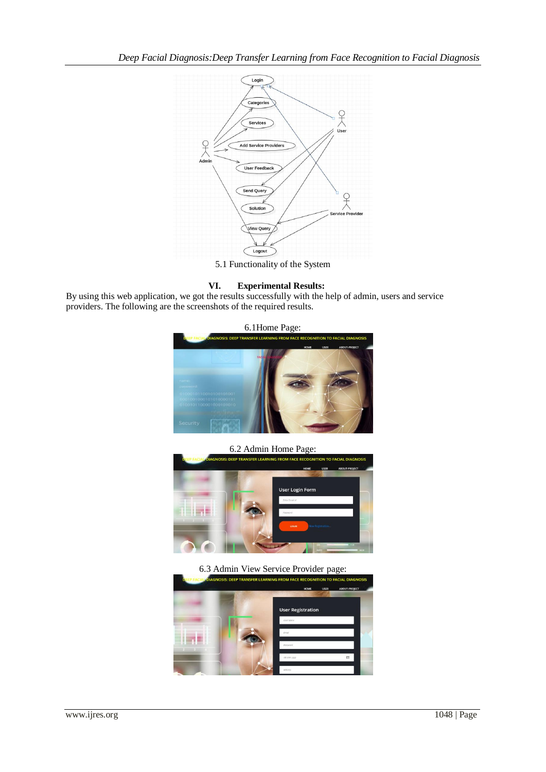

5.1 Functionality of the System

### **VI. Experimental Results:**

By using this web application, we got the results successfully with the help of admin, users and service providers. The following are the screenshots of the required results.



6.2 Admin Home Page:



6.3 Admin View Service Provider page:

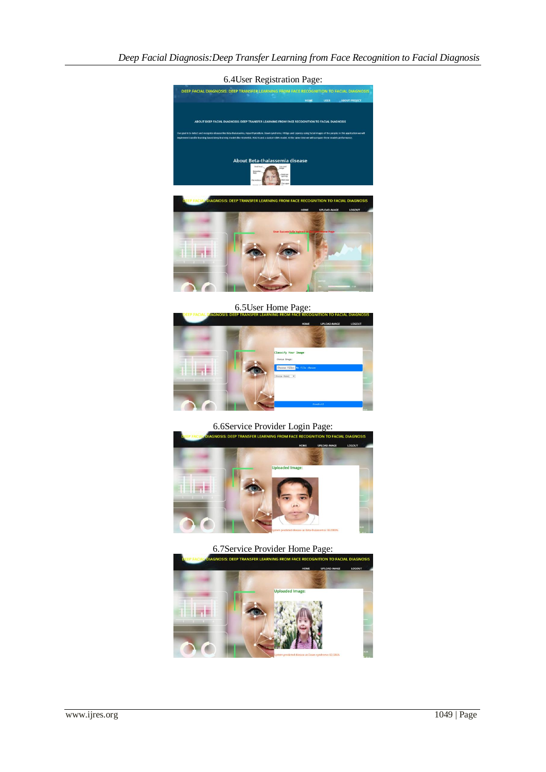

6.5User Home Page:



## 6.6Service Provider Login Page:



**6.7Service Provider Home Page:**<br>AGNOSIS: DEEP TRANSFER LEARNING FROM FACE RECOGNITION TO

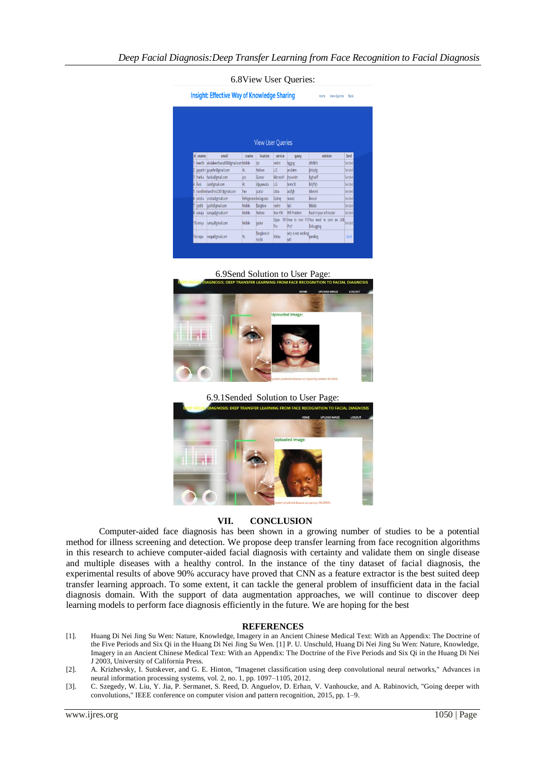|    | <b>Insight: Effective Way of Knowledge Sharing</b><br>View Queries<br>Back<br>Home |                                   |                         |                                      |             |                            |                                                                |        |
|----|------------------------------------------------------------------------------------|-----------------------------------|-------------------------|--------------------------------------|-------------|----------------------------|----------------------------------------------------------------|--------|
|    |                                                                                    |                                   |                         |                                      |             |                            |                                                                |        |
|    | id uname                                                                           | email                             | cname                   | <b>View User Queries</b><br>location | service     | query                      | solution                                                       | Send   |
|    | keerthi                                                                            | akulakeerthana000@gmail.comMobile |                         | tot                                  | redmi       | higgug                     | dfyfdcfy                                                       | Sended |
|    |                                                                                    | gayathri gayathri@gmail.com       | Ac                      | Nellore                              | LG.         | problem                    | jktlopfg                                                       | Sended |
| B  | Harika                                                                             | harika@gmail.com                  | bcs                     | Guntur                               | Microsoft   | ihvuoolm                   | kighadff                                                       | Sended |
| g  | Rasi                                                                               | rasi@gmail.com                    | Ac                      | Vijayawada                           | l.G         | bnmcfd                     | <b>Whithin</b>                                                 | Sended |
| 5. |                                                                                    | nandhini nandhini2301@gmail.com   | Fan                     | puttur                               | Usha        | asdfeh                     | nbwcmk                                                         | Sended |
| 6. | sirisha                                                                            | sirisha@gmail.com                 | Refrigerator korlagunta |                                      | Godrei      | nopoo                      | kkoool                                                         | Sended |
| 7  | ivothi                                                                             | ivothi@gmail.com                  | Mobile                  | Banglore                             | redmi       | hikl                       | bbbbb                                                          | Sended |
|    | 8 vanaja                                                                           | vanaja@gmail.com                  | Mobile                  | Nellore                              | Wyo Y50     | Wifi Problem               | Fault in your wifi router                                      | Sended |
|    | 15 ramya                                                                           | ramya@gmail.com                   | Mobile                  | gudur                                | Oppo<br>Pro | Pro?                       | F17How to root F17You need to turn on USB Sended<br>Debugging. |        |
|    |                                                                                    | roopa@gmail.com                   | Ac                      | Banglore.rd                          | Voltas      | why is not working pending |                                                                | Send   |

6.9Send Solution to User Page:



6.9.1Sended Solution to User Page:



#### **VII. CONCLUSION**

Computer-aided face diagnosis has been shown in a growing number of studies to be a potential method for illness screening and detection. We propose deep transfer learning from face recognition algorithms in this research to achieve computer-aided facial diagnosis with certainty and validate them on single disease and multiple diseases with a healthy control. In the instance of the tiny dataset of facial diagnosis, the experimental results of above 90% accuracy have proved that CNN as a feature extractor is the best suited deep transfer learning approach. To some extent, it can tackle the general problem of insufficient data in the facial diagnosis domain. With the support of data augmentation approaches, we will continue to discover deep learning models to perform face diagnosis efficiently in the future. We are hoping for the best

#### **REFERENCES**

- [1]. Huang Di Nei Jing Su Wen: Nature, Knowledge, Imagery in an Ancient Chinese Medical Text: With an Appendix: The Doctrine of the Five Periods and Six Qi in the Huang Di Nei Jing Su Wen. [1] P. U. Unschuld, Huang Di Nei Jing Su Wen: Nature, Knowledge, Imagery in an Ancient Chinese Medical Text: With an Appendix: The Doctrine of the Five Periods and Six Qi in the Huang Di Nei J 2003, University of California Press.
- [2]. A. Krizhevsky, I. Sutskever, and G. E. Hinton, "Imagenet classification using deep convolutional neural networks," Advances in neural information processing systems, vol. 2, no. 1, pp. 1097–1105, 2012.
- [3]. C. Szegedy, W. Liu, Y. Jia, P. Sermanet, S. Reed, D. Anguelov, D. Erhan, V. Vanhoucke, and A. Rabinovich, "Going deeper with convolutions," IEEE conference on computer vision and pattern recognition, 2015, pp. 1–9.